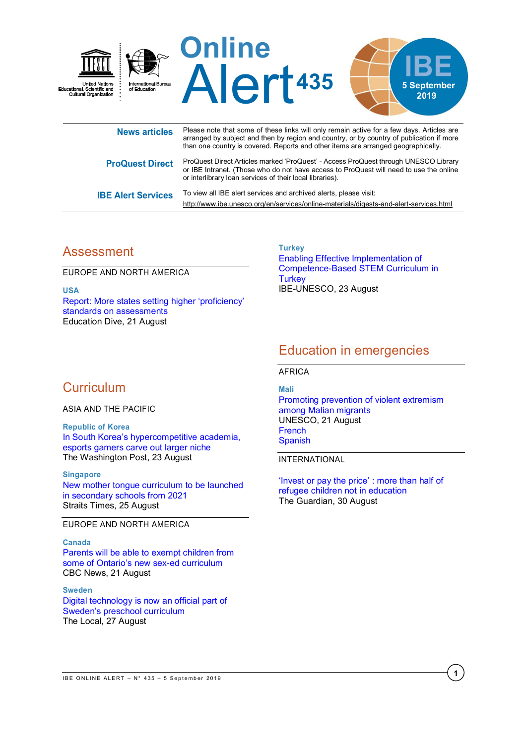

| <b>ProQuest Direct</b>    | ProQuest Direct Articles marked 'ProQuest' - Access ProQuest through UNESCO Library<br>or IBE Intranet. (Those who do not have access to ProQuest will need to use the online<br>or interlibrary loan services of their local libraries). |
|---------------------------|-------------------------------------------------------------------------------------------------------------------------------------------------------------------------------------------------------------------------------------------|
| <b>IBE Alert Services</b> | To view all IBE alert services and archived alerts, please visit:                                                                                                                                                                         |

# Assessment

EUROPE AND NORTH AMERICA

**USA** [Report: More states setting higher 'proficiency'](https://www.educationdive.com/news/report-more-states-setting-higher-proficiency-standards-on-assessments/561311/)  [standards on assessments](https://www.educationdive.com/news/report-more-states-setting-higher-proficiency-standards-on-assessments/561311/) Education Dive, 21 August

**Turkey** [Enabling Effective Implementation of](http://www.ibe.unesco.org/en/news/enabling-effective-implementation-competence-based-stem-curriculum-turkey)  [Competence-Based STEM Curriculum in](http://www.ibe.unesco.org/en/news/enabling-effective-implementation-competence-based-stem-curriculum-turkey)  **[Turkey](http://www.ibe.unesco.org/en/news/enabling-effective-implementation-competence-based-stem-curriculum-turkey)** IBE-UNESCO, 23 August

<http://www.ibe.unesco.org/en/services/online-materials/digests-and-alert-services.html>

# Education in emergencies

AFRICA

# **Curriculum**

ASIA AND THE PACIFIC

**Republic of Korea** In Sou[th Korea's hypercompetitive academia,](https://www.washingtonpost.com/world/asia_pacific/in-south-koreas-hypercompetitive-academia-esports-gamers-carve-out-larger-niche/2019/08/22/e92dedba-8e08-11e9-b6f4-033356502dce_story.html?wpisrc=nl_sb_smartbrief)  [esports gamers carve out larger niche](https://www.washingtonpost.com/world/asia_pacific/in-south-koreas-hypercompetitive-academia-esports-gamers-carve-out-larger-niche/2019/08/22/e92dedba-8e08-11e9-b6f4-033356502dce_story.html?wpisrc=nl_sb_smartbrief) The Washington Post, 23 August

#### **Singapore**

[New mother tongue curriculum to be launched](https://www.straitstimes.com/singapore/education/more-help-for-pupils-who-struggle-with-mother-tongue)  [in secondary schools from 2021](https://www.straitstimes.com/singapore/education/more-help-for-pupils-who-struggle-with-mother-tongue) Straits Times, 25 August

EUROPE AND NORTH AMERICA

### **Canada**

[Parents will be able to exempt children from](https://www.cbc.ca/news/canada/toronto/ontario-new-sex-ed-curriculum-1.5254327)  [some of Ontario's new sex](https://www.cbc.ca/news/canada/toronto/ontario-new-sex-ed-curriculum-1.5254327)-ed curriculum CBC News, 21 August

### **Sweden**

[Digital technology is now an official part of](https://www.thelocal.se/20190827/digital-technology-is-now-an-official-part-of-swedens-preschool-curriculum)  [Sweden's preschool curriculum](https://www.thelocal.se/20190827/digital-technology-is-now-an-official-part-of-swedens-preschool-curriculum) The Local, 27 August

## **Mali** [Promoting prevention of violent extremism](https://en.unesco.org/news/promoting-prevention-violent-extremism-among-malian-migrants)  [among Malian migrants](https://en.unesco.org/news/promoting-prevention-violent-extremism-among-malian-migrants) UNESCO, 21 August

[French](https://fr.unesco.org/news/promouvoir-prevention-lextremisme-violent-aupres-migrants-maliens) [Spanish](https://es.unesco.org/news/promover-prevencion-del-extremismo-violento-migrantes-mali)

INTERNATIONAL

['Invest or pay the price'](https://www.theguardian.com/global-development/2019/aug/30/invest-or-pay-the-price-more-than-half-of-refugee-children-not-in-education) : more than half of [refugee children not in education](https://www.theguardian.com/global-development/2019/aug/30/invest-or-pay-the-price-more-than-half-of-refugee-children-not-in-education) The Guardian, 30 August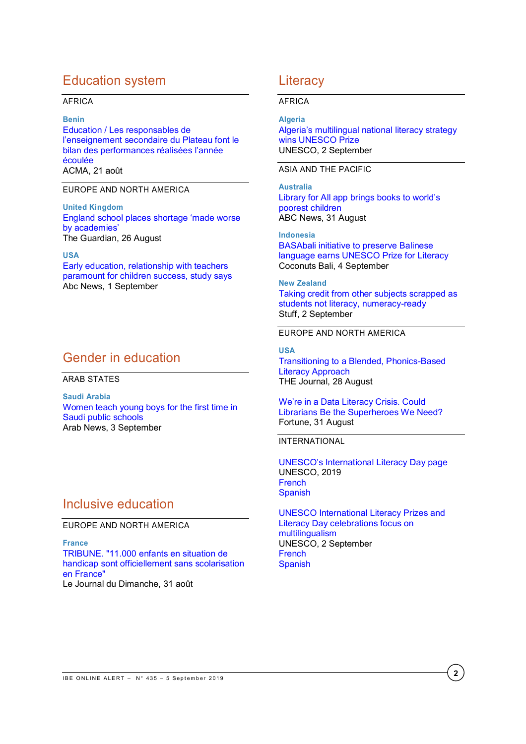# Education system

### AFRICA

#### **Benin**

[Education / Les responsables de](http://www.agencebeninpresse.info/web/depeche/33/les-responsables-de-l-enseignement-secondaire-du-plateau-font-le-bilan-des-performances-realisees-l-annee-ecoulee)  l'enseignement [secondaire du Plateau font le](http://www.agencebeninpresse.info/web/depeche/33/les-responsables-de-l-enseignement-secondaire-du-plateau-font-le-bilan-des-performances-realisees-l-annee-ecoulee)  [bilan des performances réalisées l'année](http://www.agencebeninpresse.info/web/depeche/33/les-responsables-de-l-enseignement-secondaire-du-plateau-font-le-bilan-des-performances-realisees-l-annee-ecoulee)  [écoulée](http://www.agencebeninpresse.info/web/depeche/33/les-responsables-de-l-enseignement-secondaire-du-plateau-font-le-bilan-des-performances-realisees-l-annee-ecoulee) ACMA, 21 août

### EUROPE AND NORTH AMERICA

**United Kingdom** [England school places shortage 'made worse](https://www.theguardian.com/education/2019/aug/26/england-school-places-shortage-made-worse-by-academies)  [by academies'](https://www.theguardian.com/education/2019/aug/26/england-school-places-shortage-made-worse-by-academies) The Guardian, 26 August

#### **USA**

[Early education, relationship with teachers](https://abcnews.go.com/Health/early-education-relationship-teachers-paramount-children-success-study/story?id=65293302)  [paramount for children success, study says](https://abcnews.go.com/Health/early-education-relationship-teachers-paramount-children-success-study/story?id=65293302) Abc News, 1 September

## Gender in education

#### ARAB STATES

**Saudi Arabia** [Women teach young boys for the first time in](https://www.arabnews.com/node/1548366/saudi-arabia)  [Saudi public schools](https://www.arabnews.com/node/1548366/saudi-arabia) Arab News, 3 September

## Inclusive education

EUROPE AND NORTH AMERICA

**France** [TRIBUNE. "11.000 enfants en situation de](https://www.lejdd.fr/Societe/Education/tribune-11000-enfants-en-situation-de-handicap-sont-officiellement-sans-scolarisation-en-france-3916961)  [handicap sont officiellement sans scolarisation](https://www.lejdd.fr/Societe/Education/tribune-11000-enfants-en-situation-de-handicap-sont-officiellement-sans-scolarisation-en-france-3916961)  [en France"](https://www.lejdd.fr/Societe/Education/tribune-11000-enfants-en-situation-de-handicap-sont-officiellement-sans-scolarisation-en-france-3916961) Le Journal du Dimanche, 31 août

## **Literacy**

### AFRICA

## **Algeria**

[Algeria's multilingual national literacy strategy](https://en.unesco.org/news/algerias-multilingual-national-literacy-strategy-wins-unesco-prize)  [wins UNESCO Prize](https://en.unesco.org/news/algerias-multilingual-national-literacy-strategy-wins-unesco-prize) UNESCO, 2 September

### ASIA AND THE PACIFIC

**Australia** [Library for All app brings books to world's](https://www.abc.net.au/news/2019-08-31/library-ereader-free-book-app-library-for-all-women-technology/11461026)  [poorest children](https://www.abc.net.au/news/2019-08-31/library-ereader-free-book-app-library-for-all-women-technology/11461026) ABC News, 31 August

**Indonesia** [BASAbali initiative to preserve Balinese](https://coconuts.co/bali/news/basabalis-initiative-to-preserve-balinese-language-earns-unesco-prize-for-literacy/)  [language earns UNESCO Prize for Literacy](https://coconuts.co/bali/news/basabalis-initiative-to-preserve-balinese-language-earns-unesco-prize-for-literacy/) Coconuts Bali, 4 September

**New Zealand** [Taking credit from other subjects scrapped as](https://www.stuff.co.nz/national/education/115336067/taking-credit-from-other-subjects-scrapped-as-students-not-literacy-numeracyready)  [students not literacy, numeracy-ready](https://www.stuff.co.nz/national/education/115336067/taking-credit-from-other-subjects-scrapped-as-students-not-literacy-numeracyready) Stuff, 2 September

### EUROPE AND NORTH AMERICA

**USA** [Transitioning to a Blended, Phonics-Based](https://thejournal.com/articles/2019/08/28/transitioning-to-a-blended-phonics-based-literacy-approach.aspx)  [Literacy Approach](https://thejournal.com/articles/2019/08/28/transitioning-to-a-blended-phonics-based-literacy-approach.aspx) THE Journal, 28 August

[We're in a Data Literacy Crisis. Could](https://fortune.com/2019/08/31/data-literacy-crisis-librarians-library/)  [Librarians Be the Superheroes We Need?](https://fortune.com/2019/08/31/data-literacy-crisis-librarians-library/) Fortune, 31 August

### INTERNATIONAL

[UNESCO's International Literacy Day page](https://en.unesco.org/commemorations/literacyday) UNESCO, 2019 **[French](https://fr.unesco.org/commemorations/literacyday) [Spanish](https://es.unesco.org/commemorations/literacyday)** 

[UNESCO International Literacy Prizes and](https://en.unesco.org/news/unesco-international-literacy-prizes-and-literacy-day-celebrations-focus-multilingualism)  [Literacy Day celebrations focus on](https://en.unesco.org/news/unesco-international-literacy-prizes-and-literacy-day-celebrations-focus-multilingualism)  [multilingualism](https://en.unesco.org/news/unesco-international-literacy-prizes-and-literacy-day-celebrations-focus-multilingualism) UNESCO, 2 September **[French](https://fr.unesco.org/news/multilinguisme-au-coeur-celebrations-journee-internationale-lalphabetisation) [Spanish](https://es.unesco.org/news/plurilinguismo-centra-celebraciones-del-dia-internacional-alfabetizacion)**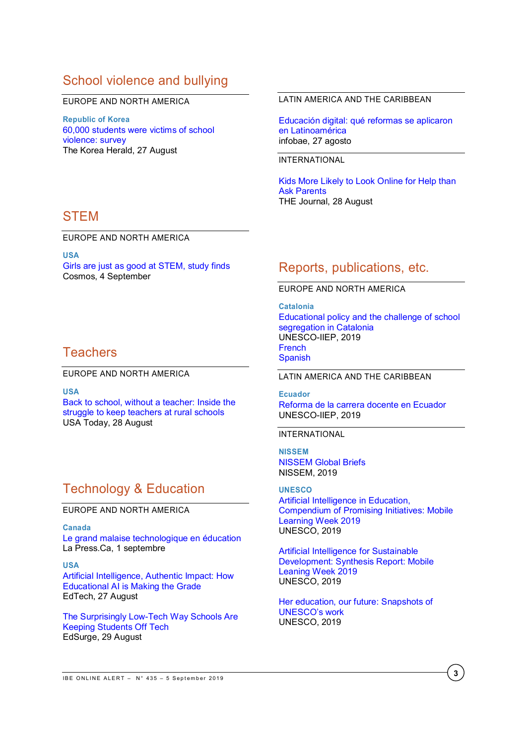# School violence and bullying

#### EUROPE AND NORTH AMERICA

**Republic of Korea** [60,000 students were victims of school](http://www.koreaherald.com/view.php?ud=20190827000689)  [violence: survey](http://www.koreaherald.com/view.php?ud=20190827000689) The Korea Herald, 27 August

## **STEM**

EUROPE AND NORTH AMERICA

**USA**

[Girls are just as good at STEM, study finds](https://cosmosmagazine.com/society/girls-are-just-as-good-at-stem-study-finds) Cosmos, 4 September

## **Teachers**

EUROPE AND NORTH AMERICA

**USA**

[Back to school, without a teacher: Inside the](https://eu.usatoday.com/story/news/education/2019/08/28/teacher-first-day-of-school-back-teaching-jobs-salary/2018092001/)  [struggle to keep teachers at rural schools](https://eu.usatoday.com/story/news/education/2019/08/28/teacher-first-day-of-school-back-teaching-jobs-salary/2018092001/) USA Today, 28 August

# Technology & Education

### EUROPE AND NORTH AMERICA

**Canada**

[Le grand malaise technologique en](https://www.lapresse.ca/debats/opinions/201908/31/01-5239404-le-grand-malaise-technologique-en-education.php) éducation La Press.Ca, 1 septembre

### **USA**

[Artificial Intelligence, Authentic Impact: How](https://edtechmagazine.com/k12/article/2019/08/artificial-intelligence-authentic-impact-how-educational-ai-making-grade-perfcon)  [Educational AI is Making the Grade](https://edtechmagazine.com/k12/article/2019/08/artificial-intelligence-authentic-impact-how-educational-ai-making-grade-perfcon) EdTech, 27 August

[The Surprisingly Low-Tech Way Schools Are](https://www.edsurge.com/news/2019-08-29-the-surprisingly-low-tech-way-schools-are-keeping-students-off-tech)  [Keeping Students Off Tech](https://www.edsurge.com/news/2019-08-29-the-surprisingly-low-tech-way-schools-are-keeping-students-off-tech) EdSurge, 29 August

### LATIN AMERICA AND THE CARIBBEAN

[Educación digital: qué reformas se aplicaron](https://www.infobae.com/educacion/2019/08/27/educacion-digital-que-reformas-se-aplicaron-en-latinoamerica/)  [en Latinoamérica](https://www.infobae.com/educacion/2019/08/27/educacion-digital-que-reformas-se-aplicaron-en-latinoamerica/) infobae, 27 agosto

### INTERNATIONAL

[Kids More Likely to Look Online for Help than](https://thejournal.com/articles/2019/08/28/kids-more-likely-to-look-online-for-help-than-ask-parents.aspx)  [Ask Parents](https://thejournal.com/articles/2019/08/28/kids-more-likely-to-look-online-for-help-than-ask-parents.aspx) THE Journal, 28 August

## Reports, publications, etc.

### EUROPE AND NORTH AMERICA

**Catalonia** [Educational policy and the challenge of school](https://unesdoc.unesco.org/ark:/48223/pf0000261471_eng)  [segregation in Catalonia](https://unesdoc.unesco.org/ark:/48223/pf0000261471_eng) UNESCO-IIEP, 2019 [French](https://unesdoc.unesco.org/ark:/48223/pf0000261471_fre) [Spanish](https://unesdoc.unesco.org/ark:/48223/pf0000261471)

LATIN AMERICA AND THE CARIBBEAN

**Ecuador** [Reforma de la carrera docente en Ecuador](https://unesdoc.unesco.org/ark:/48223/pf0000370074) UNESCO-IIEP, 2019

INTERNATIONAL

**NISSEM** [NISSEM Global Briefs](https://www.nissem.org/globalbriefs) NISSEM, 2019

**UNESCO** [Artificial Intelligence in Education,](https://unesdoc.unesco.org/ark:/48223/pf0000370307/PDF/370307eng.pdf.multi) [Compendium of Promising Initiatives:](https://unesdoc.unesco.org/ark:/48223/pf0000370307/PDF/370307eng.pdf.multi) Mobile [Learning Week 2019](https://unesdoc.unesco.org/ark:/48223/pf0000370307/PDF/370307eng.pdf.multi) UNESCO, 2019

[Artificial Intelligence for Sustainable](https://unesdoc.unesco.org/ark:/48223/pf0000370308)  [Development: Synthesis Report: Mobile](https://unesdoc.unesco.org/ark:/48223/pf0000370308)  [Leaning Week 2019](https://unesdoc.unesco.org/ark:/48223/pf0000370308) UNESCO, 2019

[Her education, our future: Snapshots of](https://unesdoc.unesco.org/ark:/48223/pf0000369547)  [UNESCO's work](https://unesdoc.unesco.org/ark:/48223/pf0000369547) UNESCO, 2019